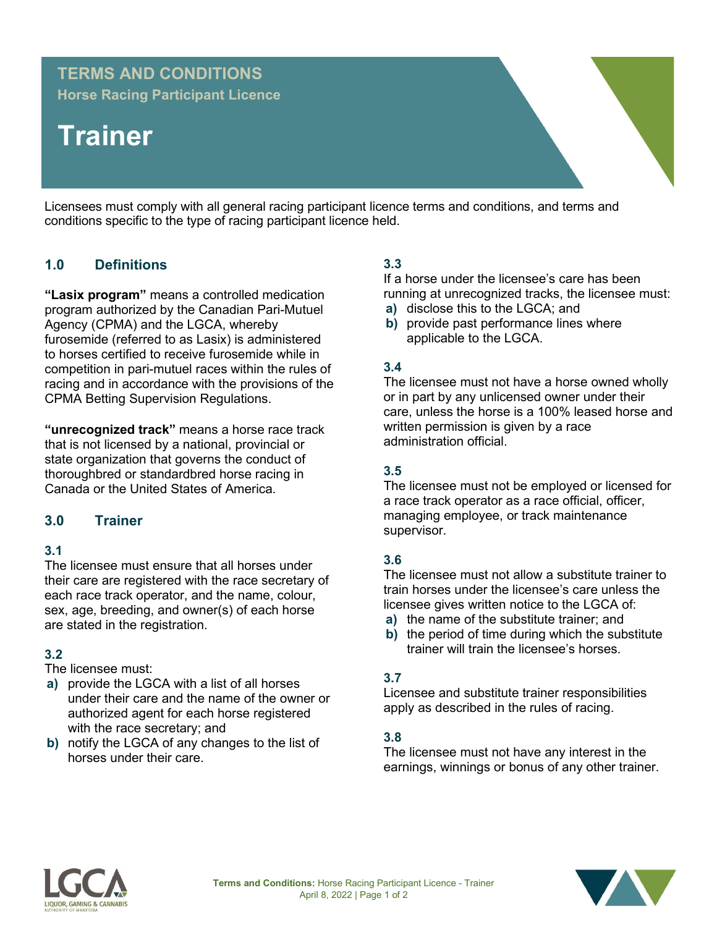# **TERMS AND CONDITIONS**

**Horse Racing Participant Licence**

# **Trainer**

Licensees must comply with all general racing participant licence terms and conditions, and terms and conditions specific to the type of racing participant licence held.

# **1.0 Definitions**

**"Lasix program"** means a controlled medication program authorized by the Canadian Pari-Mutuel Agency (CPMA) and the LGCA, whereby furosemide (referred to as Lasix) is administered to horses certified to receive furosemide while in competition in pari-mutuel races within the rules of racing and in accordance with the provisions of the CPMA Betting Supervision Regulations.

**"unrecognized track"** means a horse race track that is not licensed by a national, provincial or state organization that governs the conduct of thoroughbred or standardbred horse racing in Canada or the United States of America.

# **3.0 Trainer**

## **3.1**

The licensee must ensure that all horses under their care are registered with the race secretary of each race track operator, and the name, colour, sex, age, breeding, and owner(s) of each horse are stated in the registration.

## **3.2**

The licensee must:

- **a)** provide the LGCA with a list of all horses under their care and the name of the owner or authorized agent for each horse registered with the race secretary; and
- **b)** notify the LGCA of any changes to the list of horses under their care.

# **3.3**

If a horse under the licensee's care has been running at unrecognized tracks, the licensee must:

- **a)** disclose this to the LGCA; and
- **b)** provide past performance lines where applicable to the LGCA.

#### **3.4**

The licensee must not have a horse owned wholly or in part by any unlicensed owner under their care, unless the horse is a 100% leased horse and written permission is given by a race administration official.

#### **3.5**

The licensee must not be employed or licensed for a race track operator as a race official, officer, managing employee, or track maintenance supervisor.

#### **3.6**

The licensee must not allow a substitute trainer to train horses under the licensee's care unless the licensee gives written notice to the LGCA of:

- **a)** the name of the substitute trainer; and
- **b)** the period of time during which the substitute trainer will train the licensee's horses.

#### **3.7**

Licensee and substitute trainer responsibilities apply as described in the rules of racing.

#### **3.8**

The licensee must not have any interest in the earnings, winnings or bonus of any other trainer.